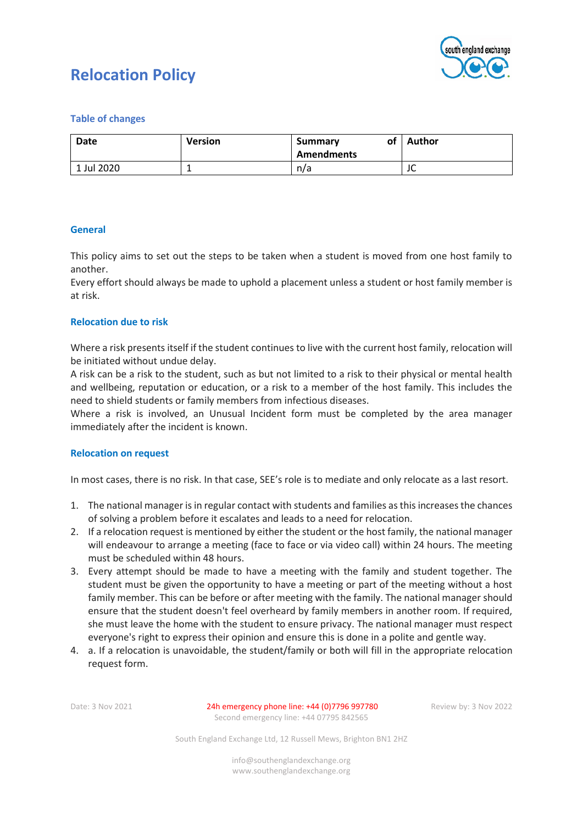

## **Relocation Policy**

### **Table of changes**

| Date       | <b>Version</b> | <b>of</b><br>Summary<br><b>Amendments</b> | <b>Author</b> |
|------------|----------------|-------------------------------------------|---------------|
| 1 Jul 2020 |                | n/a                                       | $\sim$<br>JU  |

#### **General**

This policy aims to set out the steps to be taken when a student is moved from one host family to another.

Every effort should always be made to uphold a placement unless a student or host family member is at risk.

#### **Relocation due to risk**

Where a risk presents itself if the student continues to live with the current host family, relocation will be initiated without undue delay.

A risk can be a risk to the student, such as but not limited to a risk to their physical or mental health and wellbeing, reputation or education, or a risk to a member of the host family. This includes the need to shield students or family members from infectious diseases.

Where a risk is involved, an Unusual Incident form must be completed by the area manager immediately after the incident is known.

#### **Relocation on request**

In most cases, there is no risk. In that case, SEE's role is to mediate and only relocate as a last resort.

- 1. The national manager is in regular contact with students and families as this increases the chances of solving a problem before it escalates and leads to a need for relocation.
- 2. If a relocation request is mentioned by either the student or the host family, the national manager will endeavour to arrange a meeting (face to face or via video call) within 24 hours. The meeting must be scheduled within 48 hours.
- 3. Every attempt should be made to have a meeting with the family and student together. The student must be given the opportunity to have a meeting or part of the meeting without a host family member. This can be before or after meeting with the family. The national manager should ensure that the student doesn't feel overheard by family members in another room. If required, she must leave the home with the student to ensure privacy. The national manager must respect everyone's right to express their opinion and ensure this is done in a polite and gentle way.
- 4. a. If a relocation is unavoidable, the student/family or both will fill in the appropriate relocation request form.

Date: 3 Nov 2021 24h emergency phone line: +44 (0)7796 997780 Review by: 3 Nov 2022 Second emergency line: +44 07795 842565

South England Exchange Ltd, 12 Russell Mews, Brighton BN1 2HZ

info@southenglandexchange.org www.southenglandexchange.org